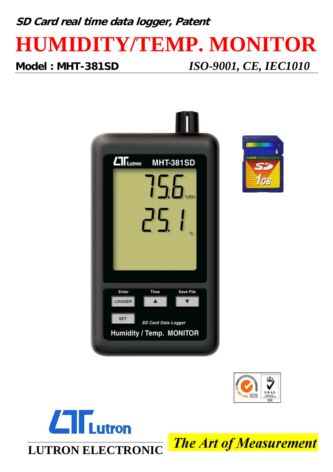# **SD Card real time data logger, Patent HUMIDITY/TEMP. MONITOR Model : MHT-381SD** *ISO-9001, CE, IEC1010*









**The Art of Measurement**